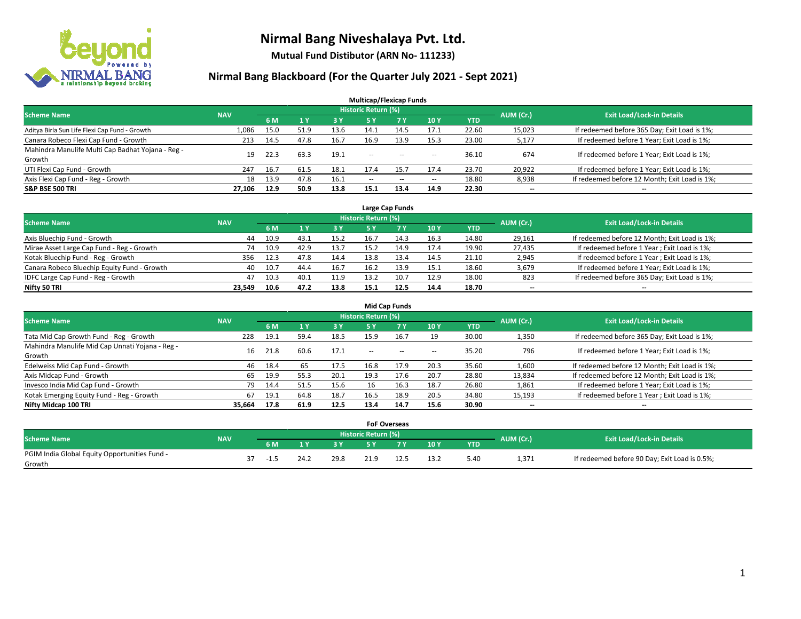

**Mutual Fund Distibutor (ARN No- 111233)**

### **Nirmal Bang Blackboard (For the Quarter July 2021 - Sept 2021)**

| <b>Multicap/Flexicap Funds</b>                    |            |      |                |      |                            |       |                          |            |                          |                                               |  |  |  |
|---------------------------------------------------|------------|------|----------------|------|----------------------------|-------|--------------------------|------------|--------------------------|-----------------------------------------------|--|--|--|
| <b>Scheme Name</b>                                | <b>NAV</b> |      |                |      | <b>Historic Return (%)</b> |       |                          |            | AUM (Cr.)                | <b>Exit Load/Lock-in Details</b>              |  |  |  |
|                                                   |            | 6 M  | 1 <sub>Y</sub> | 3 Y  | <b>5Y</b>                  | 7 Y   | 10Y                      | <b>YTD</b> |                          |                                               |  |  |  |
| Aditya Birla Sun Life Flexi Cap Fund - Growth     | 1,086      | 15.0 | 51.9           | 13.6 | 14.1                       | 14.5  | 17.1                     | 22.60      | 15,023                   | If redeemed before 365 Day; Exit Load is 1%;  |  |  |  |
| Canara Robeco Flexi Cap Fund - Growth             | 213        | 14.5 | 47.8           | 16.7 | 16.9                       | 13.9  | 15.3                     | 23.00      | 5,177                    | If redeemed before 1 Year; Exit Load is 1%;   |  |  |  |
| Mahindra Manulife Multi Cap Badhat Yojana - Reg - | 19         | 22.3 | 63.3           | 19.1 | $\sim$                     |       |                          | 36.10      | 674                      | If redeemed before 1 Year; Exit Load is 1%;   |  |  |  |
| Growth                                            |            |      |                |      |                            | $- -$ | $\!-$                    |            |                          |                                               |  |  |  |
| UTI Flexi Cap Fund - Growth                       | 247        | 16.7 | 61.5           | 18.1 | 17.4                       | 15.7  | 17.4                     | 23.70      | 20,922                   | If redeemed before 1 Year; Exit Load is 1%;   |  |  |  |
| Axis Flexi Cap Fund - Reg - Growth                | 18         | 13.9 | 47.8           | 16.1 | $\overline{\phantom{a}}$   | $- -$ | $\overline{\phantom{a}}$ | 18.80      | 8,938                    | If redeemed before 12 Month; Exit Load is 1%; |  |  |  |
| <b>S&amp;P BSE 500 TRI</b>                        | 27.106     | 12.9 | 50.9           | 13.8 | 15.1                       | 13.4  | 14.9                     | 22.30      | $\overline{\phantom{a}}$ | $\overline{\phantom{a}}$                      |  |  |  |

| Large Cap Funds                             |            |      |      |      |                            |      |      |       |                          |                                               |  |  |  |
|---------------------------------------------|------------|------|------|------|----------------------------|------|------|-------|--------------------------|-----------------------------------------------|--|--|--|
| <b>Scheme Name</b>                          | <b>NAV</b> |      |      |      | <b>Historic Return (%)</b> |      |      |       | AUM (Cr.)                | <b>Exit Load/Lock-in Details</b>              |  |  |  |
|                                             |            | 6 M  |      | 3 Y  |                            | 7 Y  | 10Y  | YTD   |                          |                                               |  |  |  |
| Axis Bluechip Fund - Growth                 | 44         | 10.9 | 43.1 | 15.2 | 16.7                       | 14.3 | 16.3 | 14.80 | 29,161                   | If redeemed before 12 Month; Exit Load is 1%; |  |  |  |
| Mirae Asset Large Cap Fund - Reg - Growth   | 74         | 10.9 | 42.9 | 13.7 | 15.2                       | 14.9 | 17.4 | 19.90 | 27,435                   | If redeemed before 1 Year; Exit Load is 1%;   |  |  |  |
| Kotak Bluechip Fund - Reg - Growth          | 356        | 12.3 | 47.8 | 14.4 | 13.8                       | 13.4 | 14.5 | 21.10 | 2,945                    | If redeemed before 1 Year; Exit Load is 1%;   |  |  |  |
| Canara Robeco Bluechip Equity Fund - Growth | 40         | 10.7 | 44.4 | 16.7 | 16.2                       | 13.9 | 15.1 | 18.60 | 3,679                    | If redeemed before 1 Year; Exit Load is 1%;   |  |  |  |
| IDFC Large Cap Fund - Reg - Growth          | 47         | 10.3 | 40.1 | 11.9 | 13.2                       | 10.7 | 12.9 | 18.00 | 823                      | If redeemed before 365 Day; Exit Load is 1%;  |  |  |  |
| Nifty 50 TRI                                | 23.549     | 10.6 | 47.2 | 13.8 | 15.1                       | 12.5 | 14.4 | 18.70 | $\overline{\phantom{a}}$ | $\overline{\phantom{a}}$                      |  |  |  |

| <b>Mid Cap Funds</b>                            |            |      |      |      |                            |           |                          |            |           |                                               |  |  |  |
|-------------------------------------------------|------------|------|------|------|----------------------------|-----------|--------------------------|------------|-----------|-----------------------------------------------|--|--|--|
| <b>Scheme Name</b>                              | <b>NAV</b> |      |      |      | <b>Historic Return (%)</b> |           |                          |            | AUM (Cr.) | <b>Exit Load/Lock-in Details</b>              |  |  |  |
|                                                 |            | 6 M  |      | 3 Y  | <b>5 Y</b>                 | <b>7Y</b> | 10Y                      | <b>YTD</b> |           |                                               |  |  |  |
| Tata Mid Cap Growth Fund - Reg - Growth         | 228        | 19.1 | 59.4 | 18.5 | 15.9                       | 16.7      | 19                       | 30.00      | 1,350     | If redeemed before 365 Day; Exit Load is 1%;  |  |  |  |
| Mahindra Manulife Mid Cap Unnati Yojana - Reg - | 16         | 21.8 | 60.6 | 17.1 | $-$                        | $-$       | $\overline{\phantom{a}}$ | 35.20      | 796       | If redeemed before 1 Year; Exit Load is 1%;   |  |  |  |
| Growth                                          |            |      |      |      |                            |           |                          |            |           |                                               |  |  |  |
| Edelweiss Mid Cap Fund - Growth                 | 46         | 18.4 | 65   | 17.5 | 16.8                       | 17.9      | 20.3                     | 35.60      | 1,600     | If redeemed before 12 Month; Exit Load is 1%; |  |  |  |
| Axis Midcap Fund - Growth                       | 65         | 19.9 | 55.3 | 20.1 | 19.3                       | 17.6      | 20.7                     | 28.80      | 13,834    | If redeemed before 12 Month; Exit Load is 1%; |  |  |  |
| Invesco India Mid Cap Fund - Growth             | 79         | 14.4 | 51.5 | 15.6 | 16                         | 16.3      | 18.7                     | 26.80      | 1,861     | If redeemed before 1 Year; Exit Load is 1%;   |  |  |  |
| Kotak Emerging Equity Fund - Reg - Growth       | 67         | 19.1 | 64.8 | 18.7 | 16.5                       | 18.9      | 20.5                     | 34.80      | 15,193    | If redeemed before 1 Year; Exit Load is 1%;   |  |  |  |
| Nifty Midcap 100 TRI                            | 35.664     | 17.8 | 61.9 | 12.5 | 13.4                       | 14.7      | 15.6                     | 30.90      | $- -$     | $\overline{\phantom{a}}$                      |  |  |  |

|                                               |            |        |      |           |                     | <b>FoF Overseas</b> |      |            |           |                                               |
|-----------------------------------------------|------------|--------|------|-----------|---------------------|---------------------|------|------------|-----------|-----------------------------------------------|
| Scheme Name                                   | <b>NAV</b> |        |      |           | Historic Return (%) |                     |      |            | AUM (Cr.) | <b>Exit Load/Lock-in Details</b>              |
|                                               |            | 6 M    | 1 V  | <b>2V</b> |                     | 7V                  | 10Y  | <b>YTD</b> |           |                                               |
| PGIM India Global Equity Opportunities Fund - |            | $-1.5$ | 24.2 | 29.8      | 21.9                |                     | 13.2 | 5.40       | 1,371     | If redeemed before 90 Day; Exit Load is 0.5%; |
| Growth                                        |            |        |      |           |                     |                     |      |            |           |                                               |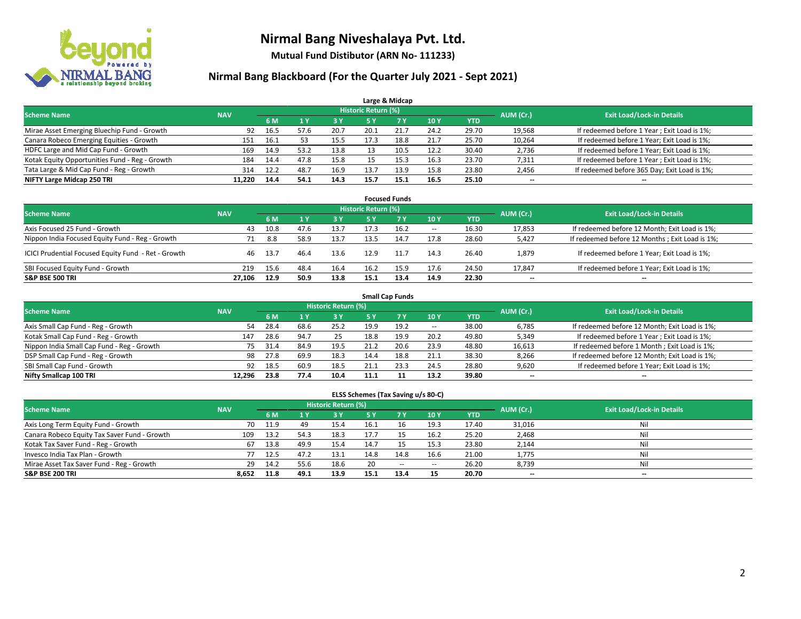

**Mutual Fund Distibutor (ARN No- 111233)**

#### **Nirmal Bang Blackboard (For the Quarter July 2021 - Sept 2021)**

|                                                |            |      |      |            |                            | Large & Midcap |      |            |           |                                              |
|------------------------------------------------|------------|------|------|------------|----------------------------|----------------|------|------------|-----------|----------------------------------------------|
| <b>Scheme Name</b>                             | <b>NAV</b> |      |      |            | <b>Historic Return (%)</b> |                |      |            | AUM (Cr.) | <b>Exit Load/Lock-in Details</b>             |
|                                                |            | 6 M  |      | <b>3 Y</b> | <b>5 Y</b>                 | <b>7 Y</b>     | 10Y  | <b>YTD</b> |           |                                              |
| Mirae Asset Emerging Bluechip Fund - Growth    | 92         | 16.5 | 57.6 | 20.7       | 20.1                       | 21.7           | 24.2 | 29.70      | 19,568    | If redeemed before 1 Year; Exit Load is 1%;  |
| Canara Robeco Emerging Equities - Growth       | 151        | 16.1 | 53   | 15.5       | 17.3                       | 18.8           | 21.7 | 25.70      | 10,264    | If redeemed before 1 Year; Exit Load is 1%;  |
| HDFC Large and Mid Cap Fund - Growth           | 169        | 14.9 | 53.2 | 13.8       |                            | 10.5           | 12.2 | 30.40      | 2,736     | If redeemed before 1 Year; Exit Load is 1%;  |
| Kotak Equity Opportunities Fund - Reg - Growth | 184        | 14.4 | 47.8 | 15.8       |                            | 15.3           | 16.3 | 23.70      | 7,311     | If redeemed before 1 Year; Exit Load is 1%;  |
| Tata Large & Mid Cap Fund - Reg - Growth       | 314        | 12.2 | 48.7 | 16.9       | 13.7                       | 13.9           | 15.8 | 23.80      | 2,456     | If redeemed before 365 Day; Exit Load is 1%; |
| NIFTY Large Midcap 250 TRI                     | 11.220     | 14.4 | 54.1 | 14.3       | 15.7                       | 15.1           | 16.5 | 25.10      | $- -$     | $\overline{\phantom{a}}$                     |

|                                                     |            |       |      |      |                     | <b>Focused Funds</b> |                          |       |                          |                                                 |
|-----------------------------------------------------|------------|-------|------|------|---------------------|----------------------|--------------------------|-------|--------------------------|-------------------------------------------------|
| <b>Scheme Name</b>                                  | <b>NAV</b> |       |      |      | Historic Return (%) |                      |                          |       | AUM (Cr.)                | <b>Exit Load/Lock-in Details</b>                |
|                                                     |            | 6 M   |      | 3V   | 5 Y                 | <b>7Y</b>            | 10Y                      | YTD   |                          |                                                 |
| Axis Focused 25 Fund - Growth                       | 43         | 10.8  | 47.6 | 13.7 |                     | 16.2                 | $\overline{\phantom{a}}$ | 16.30 | 17,853                   | If redeemed before 12 Month; Exit Load is 1%;   |
| Nippon India Focused Equity Fund - Reg - Growth     | 71         | 8.8   | 58.9 | 13.7 | 13.5                | 14.7                 | 17.8                     | 28.60 | 5,427                    | If redeemed before 12 Months ; Exit Load is 1%; |
| ICICI Prudential Focused Equity Fund - Ret - Growth | 46         | -13.7 | 46.4 | 13.6 | 12.9                | 11.7                 | 14.3                     | 26.40 | 1,879                    | If redeemed before 1 Year; Exit Load is 1%;     |
| SBI Focused Equity Fund - Growth                    | 219        | 15.6  | 48.4 | 16.4 | 16.2                | 15.9                 | 17.6                     | 24.50 | 17,847                   | If redeemed before 1 Year; Exit Load is 1%;     |
| <b>S&amp;P BSE 500 TRI</b>                          | 27.106     | 12.9  | 50.9 | 13.8 | 15.1                | 13.4                 | 14.9                     | 22.30 | $\overline{\phantom{a}}$ | --                                              |

|                                            |            |           |                                  |      |      | <b>Small Cap Funds</b> |            |            |        |                                               |
|--------------------------------------------|------------|-----------|----------------------------------|------|------|------------------------|------------|------------|--------|-----------------------------------------------|
| <b>Scheme Name</b>                         | <b>NAV</b> | AUM (Cr.) | <b>Exit Load/Lock-in Details</b> |      |      |                        |            |            |        |                                               |
|                                            |            | 6 M       |                                  | 3 Y  | 5 Y  | <b>7Y</b>              | <b>10Y</b> | <b>YTD</b> |        |                                               |
| Axis Small Cap Fund - Reg - Growth         | 54         | 28.4      | 68.6                             | 25.2 | 19.9 | 19.2                   | $- -$      | 38.00      | 6,785  | If redeemed before 12 Month; Exit Load is 1%; |
| Kotak Small Cap Fund - Reg - Growth        | 147        | 28.6      | 94.7                             | 25   | 18.8 | 19.9                   | 20.2       | 49.80      | 5,349  | If redeemed before 1 Year; Exit Load is 1%;   |
| Nippon India Small Cap Fund - Reg - Growth | 75         | 31.4      | 84.9                             | 19.5 | 21.2 | 20.6                   | 23.9       | 48.80      | 16,613 | If redeemed before 1 Month; Exit Load is 1%;  |
| DSP Small Cap Fund - Reg - Growth          | 98         | 27.8      | 69.9                             | 18.3 | 14.4 | 18.8                   | 21.1       | 38.30      | 8,266  | If redeemed before 12 Month; Exit Load is 1%; |
| SBI Small Cap Fund - Growth                | 92         | 18.5      | 60.9                             | 18.5 | 21.1 | 23.3                   | 24.5       | 28.80      | 9,620  | If redeemed before 1 Year; Exit Load is 1%;   |
| Nifty Smallcap 100 TRI                     | 12.296     | 23.8      | 77.4                             | 10.4 | 11.1 | 11                     | 13.2       | 39.80      | --     | $\overline{\phantom{a}}$                      |

#### **ELSS Schemes (Tax Saving u/s 80-C)**

| <b>Scheme Name</b>                           | <b>NAV</b> |      |      | Historic Return (%) |           |       |                          |            | AUM (Cr.) | <b>Exit Load/Lock-in Details</b> |
|----------------------------------------------|------------|------|------|---------------------|-----------|-------|--------------------------|------------|-----------|----------------------------------|
|                                              |            | 6 M  |      | 73 Y.               | <b>5Y</b> |       | <b>10Y</b>               | <b>YTD</b> |           |                                  |
| Axis Long Term Equity Fund - Growth          | 70         | 11.9 | 49   | 15.4                | 16.1      |       | 19.3                     | 17.40      | 31,016    | Nil                              |
| Canara Robeco Equity Tax Saver Fund - Growth | 109        | 13.2 | 54.3 | 18.3                | 17.7      |       | 16.2                     | 25.20      | 2,468     | Nil                              |
| Kotak Tax Saver Fund - Reg - Growth          | 67         | 13.8 | 49.9 | 15.4                | 14.7      |       | 15.3                     | 23.80      | 2,144     | Nil                              |
| Invesco India Tax Plan - Growth              | 77         | 12.5 | 47.2 | 13.1                | 14.8      | 14.8  | 16.6                     | 21.00      | 1,775     | Nil                              |
| Mirae Asset Tax Saver Fund - Reg - Growth    | 29         | 14.2 | 55.6 | 18.6                | 20        | $- -$ | $\overline{\phantom{a}}$ | 26.20      | 8,739     | Nil                              |
| <b>S&amp;P BSE 200 TRI</b>                   | 8,652      | 11.8 | 49.1 | 13.9                | 15.1      | 13.4  | 15                       | 20.70      | $- -$     | --                               |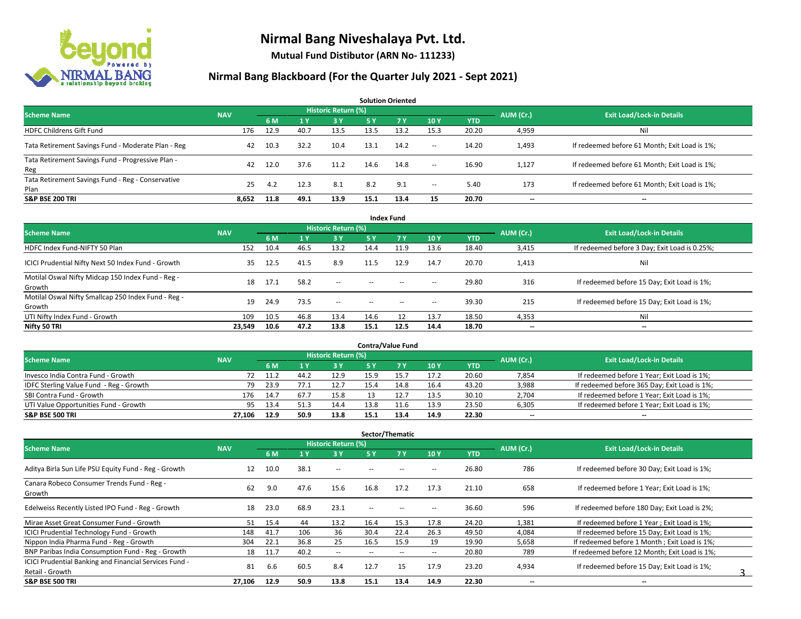

**Mutual Fund Distibutor (ARN No- 111233)**

#### **Nirmal Bang Blackboard (For the Quarter July 2021 - Sept 2021)**

**6 M 1 Y 3 Y 5 Y 7 Y 10 Y YTD** HDFC Childrens Gift Fund 176 12.9 40.7 13.5 13.5 13.2 15.3 20.20 4,959 Nil Tata Retirement Savings Fund - Moderate Plan - Reg and August 20.3 22 10.4 13.1 14.2 - 14.20 1,493 If redeemed before 61 Month; Exit Load is 1%; Tata Retirement Savings Fund - Progressive Plan - Reg 42 12.0 37.6 11.2 14.6 14.8 -- 16.90 1,127 If redeemed before 61 Month; Exit Load is 1%; Tata Retirement Savings Fund - Reg - Conservative Plan 2011 2011 12.3 8.1 8.2 9.1 - 5.40 173 If redeemed before 61 Month; Exit Load is 1%;<br>Plan **S&P BSE 200 TRI 8,652 11.8 49.1 13.9 15.1 13.4 15 20.70 -- -- AUM (Cr.) Exit Load/Lock-in Details Solution Oriented Scheme Name** Name Name National Accounts of the NAV *Historic Return (%)* 

| <b>Index Fund</b>                                             |            |      |                |                            |               |            |                          |            |           |                                               |  |  |  |  |
|---------------------------------------------------------------|------------|------|----------------|----------------------------|---------------|------------|--------------------------|------------|-----------|-----------------------------------------------|--|--|--|--|
| <b>Scheme Name</b>                                            | <b>NAV</b> |      |                | <b>Historic Return (%)</b> |               |            |                          |            | AUM (Cr.) | <b>Exit Load/Lock-in Details</b>              |  |  |  |  |
|                                                               |            | 6 M  | 1 <sup>1</sup> | 3 Y                        | <b>5Y</b>     | <b>7 Y</b> | 10Y                      | <b>YTD</b> |           |                                               |  |  |  |  |
| HDFC Index Fund-NIFTY 50 Plan                                 | 152        | 10.4 | 46.5           | 13.2                       | 14.4          | 11.9       | 13.6                     | 18.40      | 3,415     | If redeemed before 3 Day; Exit Load is 0.25%; |  |  |  |  |
| ICICI Prudential Nifty Next 50 Index Fund - Growth            | 35         | 12.5 | 41.5           | 8.9                        | 11.5          | 12.9       | 14.7                     | 20.70      | 1,413     | Nil                                           |  |  |  |  |
| Motilal Oswal Nifty Midcap 150 Index Fund - Reg -<br>Growth   | 18         | 17.1 | 58.2           | $\overline{\phantom{a}}$   | $\sim$ $\sim$ | $-$        | $\overline{\phantom{a}}$ | 29.80      | 316       | If redeemed before 15 Day; Exit Load is 1%;   |  |  |  |  |
| Motilal Oswal Nifty Smallcap 250 Index Fund - Reg -<br>Growth | 19         | 24.9 | 73.5           | $\sim$                     | $\sim$        | $\sim$     | $\overline{\phantom{a}}$ | 39.30      | 215       | If redeemed before 15 Day; Exit Load is 1%;   |  |  |  |  |
| UTI Nifty Index Fund - Growth                                 | 109        | 10.5 | 46.8           | 13.4                       | 14.6          |            | 13.7                     | 18.50      | 4,353     | Nil                                           |  |  |  |  |
| Nifty 50 TRI                                                  | 23,549     | 10.6 | 47.2           | 13.8                       | 15.1          | 12.5       | 14.4                     | 18.70      | $- -$     | $\overline{\phantom{a}}$                      |  |  |  |  |

| <b>Contra/Value Fund</b>                |            |      |      |                     |      |      |      |            |           |                                              |  |  |  |
|-----------------------------------------|------------|------|------|---------------------|------|------|------|------------|-----------|----------------------------------------------|--|--|--|
| <b>Scheme Name</b>                      | <b>NAV</b> |      |      | Historic Return (%) |      |      |      |            | AUM (Cr.) | <b>Exit Load/Lock-in Details</b>             |  |  |  |
|                                         |            | 6 M  |      | 3 Y                 |      |      | 10Y  | <b>YTD</b> |           |                                              |  |  |  |
| Invesco India Contra Fund - Growth      |            | 11.2 | 44.2 | 12.9                |      |      | 17.2 | 20.60      | 7,854     | If redeemed before 1 Year; Exit Load is 1%;  |  |  |  |
| IDFC Sterling Value Fund - Reg - Growth | 79         | 23.9 |      | 12.7                | 15.4 |      | 16.4 | 43.20      | 3,988     | If redeemed before 365 Day; Exit Load is 1%; |  |  |  |
| SBI Contra Fund - Growth                | 176        | 14.7 | 67.7 | 15.8                |      |      | 13.5 | 30.10      | 2,704     | If redeemed before 1 Year; Exit Load is 1%;  |  |  |  |
| UTI Value Opportunities Fund - Growth   | 95         | 13.4 | 51.3 | 14.4                | 13.8 |      | 13.9 | 23.50      | 6,305     | If redeemed before 1 Year; Exit Load is 1%;  |  |  |  |
| <b>S&amp;P BSE 500 TRI</b>              | 27.106     | 12.9 | 50.9 | 13.8                | 15.1 | 13.4 | 14.9 | 22.30      | $- -$     | $-$                                          |  |  |  |

| Sector/Thematic                                        |            |      |                |                     |                          |       |                          |            |                          |                                               |  |  |  |
|--------------------------------------------------------|------------|------|----------------|---------------------|--------------------------|-------|--------------------------|------------|--------------------------|-----------------------------------------------|--|--|--|
| <b>Scheme Name</b>                                     | <b>NAV</b> |      |                | Historic Return (%) |                          |       |                          |            | AUM (Cr.)                | <b>Exit Load/Lock-in Details</b>              |  |  |  |
|                                                        |            | 6 M  | 1 <sub>Y</sub> | 3 Y                 | 5 Y                      | 7Y    | <b>10Y</b>               | <b>YTD</b> |                          |                                               |  |  |  |
| Aditya Birla Sun Life PSU Equity Fund - Reg - Growth   | 12         | 10.0 | 38.1           | $\sim$ $-$          |                          |       | -                        | 26.80      | 786                      | If redeemed before 30 Day; Exit Load is 1%;   |  |  |  |
| Canara Robeco Consumer Trends Fund - Reg -<br>Growth   | 62         | 9.0  | 47.6           | 15.6                | 16.8                     | 17.2  | 17.3                     | 21.10      | 658                      | If redeemed before 1 Year; Exit Load is 1%;   |  |  |  |
| Edelweiss Recently Listed IPO Fund - Reg - Growth      | 18         | 23.0 | 68.9           | 23.1                | --                       |       |                          | 36.60      | 596                      | If redeemed before 180 Day; Exit Load is 2%;  |  |  |  |
| Mirae Asset Great Consumer Fund - Growth               | 51         | 15.4 | 44             | 13.2                | 16.4                     | 15.3  | 17.8                     | 24.20      | 1,381                    | If redeemed before 1 Year; Exit Load is 1%;   |  |  |  |
| <b>ICICI Prudential Technology Fund - Growth</b>       | 148        | 41.7 | 106            | 36                  | 30.4                     | 22.4  | 26.3                     | 49.50      | 4,084                    | If redeemed before 15 Day; Exit Load is 1%;   |  |  |  |
| Nippon India Pharma Fund - Reg - Growth                | 304        | 22.1 | 36.8           | 25                  | 16.5                     | 15.9  | 19                       | 19.90      | 5,658                    | If redeemed before 1 Month; Exit Load is 1%;  |  |  |  |
| BNP Paribas India Consumption Fund - Reg - Growth      | 18         | 11.7 | 40.2           | $\sim$ $-$          | $\overline{\phantom{a}}$ | $- -$ | $\hspace{0.05cm} \ldots$ | 20.80      | 789                      | If redeemed before 12 Month: Exit Load is 1%: |  |  |  |
| ICICI Prudential Banking and Financial Services Fund - | 81         | 6.6  | 60.5           | 8.4                 | 12.7                     | 15    | 17.9                     | 23.20      | 4,934                    | If redeemed before 15 Day; Exit Load is 1%;   |  |  |  |
| Retail - Growth                                        |            |      |                |                     |                          |       |                          |            |                          |                                               |  |  |  |
| <b>S&amp;P BSE 500 TRI</b>                             | 27,106     | 12.9 | 50.9           | 13.8                | 15.1                     | 13.4  | 14.9                     | 22.30      | $\overline{\phantom{a}}$ | $\overline{\phantom{a}}$                      |  |  |  |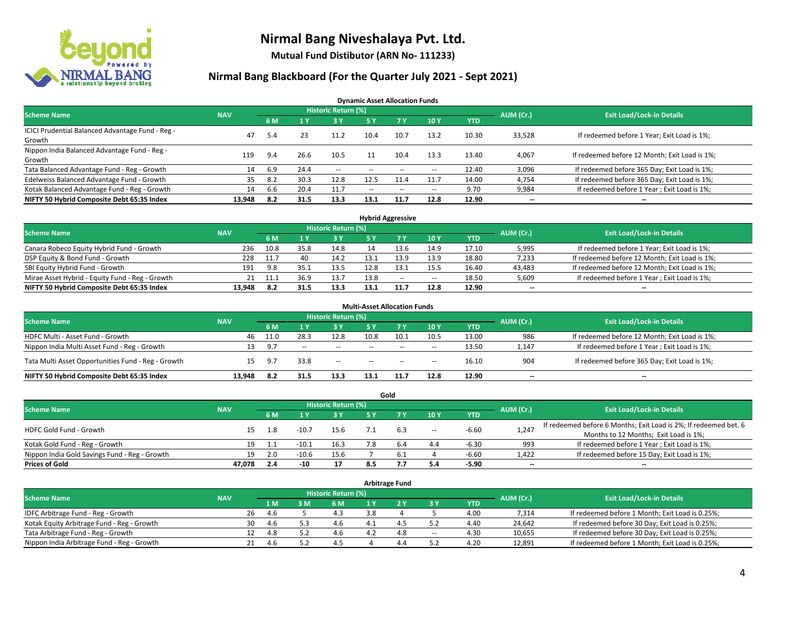

**Mutual Fund Distibutor (ARN No- 111233)**

#### **Nirmal Bang Blackboard (For the Quarter July 2021 - Sept 2021)**

**Dynamic Asset Allocation Funds**

| <b>Scheme Name</b>                                         | <b>NAV</b> |      |      | <b>Historic Return (%)</b> |        |                          |                          |       | AUM (Cr.)                | <b>Exit Load/Lock-in Details</b>              |
|------------------------------------------------------------|------------|------|------|----------------------------|--------|--------------------------|--------------------------|-------|--------------------------|-----------------------------------------------|
|                                                            |            | 6 M  |      | <b>3Y</b>                  | 5 Y    | 7 Y                      | 10Y                      | YTD   |                          |                                               |
| ICICI Prudential Balanced Advantage Fund - Reg -<br>Growth | 47         | 5.4  |      | 11.2                       | 10.4   | 10.7                     | 13.2                     | 10.30 | 33,528                   | If redeemed before 1 Year; Exit Load is 1%;   |
| Nippon India Balanced Advantage Fund - Reg -<br>Growth     | 119        | 9.4  | 26.6 | 10.5                       |        | 10.4                     | 13.3                     | 13.40 | 4,067                    | If redeemed before 12 Month; Exit Load is 1%; |
| Tata Balanced Advantage Fund - Reg - Growth                | 14         | 6.9  | 24.4 | $\sim$                     | $-$    | $\sim$                   | $\overline{\phantom{a}}$ | 12.40 | 3,096                    | If redeemed before 365 Day; Exit Load is 1%;  |
| Edelweiss Balanced Advantage Fund - Growth                 | 35         | -8.2 | 30.3 | 12.8                       | 12.5   | 11.4                     | 11.7                     | 14.00 | 4,754                    | If redeemed before 365 Day; Exit Load is 1%;  |
| Kotak Balanced Advantage Fund - Reg - Growth               | 14         | 6.6  | 20.4 | 11.7                       | $\sim$ | $\overline{\phantom{a}}$ | $\overline{\phantom{a}}$ | 9.70  | 9,984                    | If redeemed before 1 Year; Exit Load is 1%;   |
| NIFTY 50 Hybrid Composite Debt 65:35 Index                 | 13,948     | 8.2  | 31.5 | 13.3                       | 13.1   | 11.7                     | 12.8                     | 12.90 | $\overline{\phantom{a}}$ | --                                            |

| <b>Hybrid Aggressive</b>                        |            |            |      |                     |      |        |                          |            |           |                                               |  |  |  |
|-------------------------------------------------|------------|------------|------|---------------------|------|--------|--------------------------|------------|-----------|-----------------------------------------------|--|--|--|
| <b>Scheme Name</b>                              | <b>NAV</b> |            |      | Historic Return (%) |      |        |                          |            | AUM (Cr.) | <b>Exit Load/Lock-in Details</b>              |  |  |  |
|                                                 |            | 6 M        |      | 3 Y                 |      |        | 10Y                      | <b>YTD</b> |           |                                               |  |  |  |
| Canara Robeco Equity Hybrid Fund - Growth       | 236        | 10.8       | 35.8 | 14.8                |      |        | 14.9                     | 17.10      | 5,995     | If redeemed before 1 Year; Exit Load is 1%;   |  |  |  |
| DSP Equity & Bond Fund - Growth                 | 228        | 11.7       | 40   | 14.2                | l3.1 |        | 13.9                     | 18.80      | 7,233     | If redeemed before 12 Month; Exit Load is 1%; |  |  |  |
| SBI Equity Hybrid Fund - Growth                 | 191        | 9.8        |      | 13.5                | 12.8 |        | 15.5                     | 16.40      | 43,483    | If redeemed before 12 Month; Exit Load is 1%; |  |  |  |
| Mirae Asset Hybrid - Equity Fund - Reg - Growth |            | 11.1<br>21 | 36.9 | 13.7                | 13.8 | $\sim$ | $\overline{\phantom{a}}$ | 18.50      | 5,609     | If redeemed before 1 Year; Exit Load is 1%;   |  |  |  |
| NIFTY 50 Hybrid Composite Debt 65:35 Index      | 13.948     | 8.2        | 31.5 | 13.3                | 13.1 |        | 12.8                     | 12.90      | $- -$     | $\overline{\phantom{a}}$                      |  |  |  |

| <b>Multi-Asset Allocation Funds</b>                |            |      |       |                     |               |      |        |            |                          |                                               |  |  |  |
|----------------------------------------------------|------------|------|-------|---------------------|---------------|------|--------|------------|--------------------------|-----------------------------------------------|--|--|--|
| <b>Scheme Name</b>                                 | <b>NAV</b> |      |       | Historic Return (%) |               |      |        |            | AUM (Cr.)                | <b>Exit Load/Lock-in Details</b>              |  |  |  |
|                                                    |            | 6 M  |       | <b>3Y</b>           |               |      | 10Y    | <b>YTD</b> |                          |                                               |  |  |  |
| HDFC Multi - Asset Fund - Growth                   | 46         | 11.0 | 28.3  | 12.8                | 10.8          | 10.1 | 10.5   | 13.00      | 986                      | If redeemed before 12 Month; Exit Load is 1%; |  |  |  |
| Nippon India Multi Asset Fund - Reg - Growth       |            | 9.7  | $- -$ | $-$                 | $\sim$ $\sim$ | $-$  | $\sim$ | 13.50      | 1,147                    | If redeemed before 1 Year; Exit Load is 1%;   |  |  |  |
| Tata Multi Asset Opportunities Fund - Reg - Growth | 15         | 9.7  | 33.8  | $-$                 | $\sim$        | $-$  | $\sim$ | 16.10      | 904                      | If redeemed before 365 Day; Exit Load is 1%;  |  |  |  |
| NIFTY 50 Hybrid Composite Debt 65:35 Index         | 13.948     |      | 31.5  | 13.3                | 13.1          | 11.7 | 12.8   | 12.90      | $\overline{\phantom{a}}$ | $- -$                                         |  |  |  |

|                                               |            |     |         |                            |     | Gold      |        |            |           |                                                                  |
|-----------------------------------------------|------------|-----|---------|----------------------------|-----|-----------|--------|------------|-----------|------------------------------------------------------------------|
| <b>Scheme Name</b>                            | <b>NAV</b> |     |         | <b>Historic Return (%)</b> |     |           |        |            | AUM (Cr.) | <b>Exit Load/Lock-in Details</b>                                 |
|                                               |            | 6 M |         | <b>3 Y</b>                 | 5 Y |           | 10Y    | <b>YTD</b> |           |                                                                  |
| HDFC Gold Fund - Growth                       |            | 1.8 | $-10.7$ | 15.6                       |     | 6.3       |        | $-6.60$    |           | If redeemed before 6 Months; Exit Load is 2%; If redeemed bet. 6 |
|                                               |            |     |         |                            |     |           | $\sim$ |            | 1,247     | Months to 12 Months; Exit Load is 1%;                            |
| Kotak Gold Fund - Reg - Growth                | 19         |     | $-10.1$ | 16.3                       |     | 6.4       | 4.4    | $-6.30$    | 993       | If redeemed before 1 Year; Exit Load is 1%;                      |
| Nippon India Gold Savings Fund - Reg - Growth | 19         | 2.0 | $-10.6$ | 15.6                       |     | <b>b.</b> |        | $-6.60$    | 1,422     | If redeemed before 15 Day; Exit Load is 1%;                      |
| <b>Prices of Gold</b>                         | 47.078     | 2.4 | $-10$   | 17                         | 8.5 |           | 5.4    | $-5.90$    | $- -$     | $\overline{\phantom{a}}$                                         |

| <b>Arbitrage Fund</b>                      |            |    |      |     |                            |     |     |        |            |           |                                                 |  |  |
|--------------------------------------------|------------|----|------|-----|----------------------------|-----|-----|--------|------------|-----------|-------------------------------------------------|--|--|
| <b>Scheme Name</b>                         | <b>NAV</b> |    |      |     | <b>Historic Return (%)</b> |     |     |        |            | AUM (Cr.) | <b>Exit Load/Lock-in Details</b>                |  |  |
|                                            |            |    | 1 M  | 3 M | 6 M                        |     |     | 3 Y    | <b>YTD</b> |           |                                                 |  |  |
| IDFC Arbitrage Fund - Reg - Growth         |            | 26 | -4.6 |     | 4.3                        | 3.8 |     |        | 4.00       | 7,314     | If redeemed before 1 Month; Exit Load is 0.25%; |  |  |
| Kotak Equity Arbitrage Fund - Reg - Growth |            | 30 | -4.6 | 53  | 4.6                        |     |     |        | 4.40       | 24.642    | If redeemed before 30 Day; Exit Load is 0.25%;  |  |  |
| Tata Arbitrage Fund - Reg - Growth         |            | 12 | 4.8  |     | 4.6                        | 4.2 | 4.8 | $\sim$ | 4.30       | 10,655    | If redeemed before 30 Day; Exit Load is 0.25%;  |  |  |
| Nippon India Arbitrage Fund - Reg - Growth |            | 21 |      |     | 4.5                        |     | 4.4 |        | 4.20       | 12,891    | If redeemed before 1 Month; Exit Load is 0.25%; |  |  |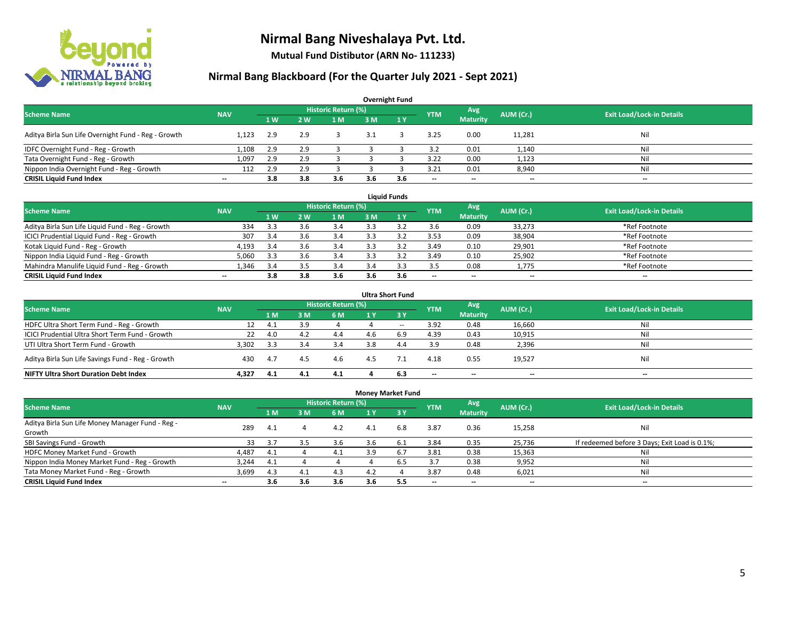

**Mutual Fund Distibutor (ARN No- 111233)**

### **Nirmal Bang Blackboard (For the Quarter July 2021 - Sept 2021)**

| <b>Overnight Fund</b>                               |                          |                |     |                     |     |     |                          |                          |                          |                                  |  |  |  |
|-----------------------------------------------------|--------------------------|----------------|-----|---------------------|-----|-----|--------------------------|--------------------------|--------------------------|----------------------------------|--|--|--|
| <b>Scheme Name</b>                                  | <b>NAV</b>               |                |     | Historic Return (%) |     |     | <b>YTM</b>               | Avg                      | AUM (Cr.)                | <b>Exit Load/Lock-in Details</b> |  |  |  |
|                                                     |                          | 1 <sub>W</sub> | 2 W | 1 <sub>M</sub>      | 3M  | 1Y  |                          | <b>Maturity</b>          |                          |                                  |  |  |  |
| Aditya Birla Sun Life Overnight Fund - Reg - Growth | 1.123                    | 2.9            | 2.9 |                     |     |     | 3.25                     | 0.00                     | 11,281                   | Nil                              |  |  |  |
| IDFC Overnight Fund - Reg - Growth                  | 1,108                    | 2.9            |     |                     |     |     | 3.2                      | 0.01                     | 1,140                    | Nil                              |  |  |  |
| Tata Overnight Fund - Reg - Growth                  | 1.097                    | 2.9            |     |                     |     |     | 3.22                     | 0.00                     | 1,123                    | Nil                              |  |  |  |
| Nippon India Overnight Fund - Reg - Growth          | 112                      | 2.9            |     |                     |     |     | 3.21                     | 0.01                     | 8,940                    | Nil                              |  |  |  |
| <b>CRISIL Liquid Fund Index</b>                     | $\overline{\phantom{a}}$ | 3.8            | 3.8 | 3.6                 | 3.6 | 3.6 | $\overline{\phantom{a}}$ | $\overline{\phantom{a}}$ | $\overline{\phantom{a}}$ | $-$                              |  |  |  |

| <b>Liquid Funds</b>                              |            |      |     |                     |     |     |                          |                          |           |                                  |  |  |  |
|--------------------------------------------------|------------|------|-----|---------------------|-----|-----|--------------------------|--------------------------|-----------|----------------------------------|--|--|--|
| <b>Scheme Name</b>                               | <b>NAV</b> |      |     | Historic Return (%) |     |     | <b>YTM</b>               | Avg                      | AUM (Cr.) | <b>Exit Load/Lock-in Details</b> |  |  |  |
|                                                  |            | 1W   | 2 W | 1 M                 | 3 M |     |                          | <b>Maturity</b>          |           |                                  |  |  |  |
| Aditya Birla Sun Life Liquid Fund - Reg - Growth | 334        | 3.3  |     | 3.4                 |     |     | 3.6                      | 0.09                     | 33,273    | *Ref Footnote                    |  |  |  |
| ICICI Prudential Liquid Fund - Reg - Growth      | 307        | 3.4  |     | 3.4                 |     |     | 3.53                     | 0.09                     | 38,904    | *Ref Footnote                    |  |  |  |
| Kotak Liquid Fund - Reg - Growth                 | 4,193      | -3.4 |     | 3.4                 |     |     | 3.49                     | 0.10                     | 29,901    | *Ref Footnote                    |  |  |  |
| Nippon India Liquid Fund - Reg - Growth          | 5,060      | 3.3  |     | 3.4                 |     |     | 3.49                     | 0.10                     | 25,902    | *Ref Footnote                    |  |  |  |
| Mahindra Manulife Liquid Fund - Reg - Growth     | 346.،      | 3.4  |     | 3.4                 | 3.4 |     | 3.5                      | 0.08                     | 1,775     | *Ref Footnote                    |  |  |  |
| <b>CRISIL Liquid Fund Index</b>                  | $- -$      | 3.8  | 3.8 | 3.6                 | 3.6 | 3.6 | $\overline{\phantom{a}}$ | $\overline{\phantom{a}}$ | $- -$     | $- -$                            |  |  |  |

| <b>Ultra Short Fund</b>                           |            |      |     |                            |     |        |                          |                          |           |                                  |  |  |  |
|---------------------------------------------------|------------|------|-----|----------------------------|-----|--------|--------------------------|--------------------------|-----------|----------------------------------|--|--|--|
| <b>Scheme Name</b>                                | <b>NAV</b> |      |     | <b>Historic Return (%)</b> |     |        | <b>YTM</b>               | Avg                      | AUM (Cr.) | <b>Exit Load/Lock-in Details</b> |  |  |  |
|                                                   |            | 1 M  | 3 M | <b>6 M</b>                 | 1 Y | $-3V$  |                          | <b>Maturity</b>          |           |                                  |  |  |  |
| HDFC Ultra Short Term Fund - Reg - Growth         |            | 4.1  | 3.9 |                            |     | $\sim$ | 3.92                     | 0.48                     | 16,660    | Nil                              |  |  |  |
| ICICI Prudential Ultra Short Term Fund - Growth   | 22         | 4.0  | 4.2 | 4.4                        |     | 6.9    | 4.39                     | 0.43                     | 10,915    | Nil                              |  |  |  |
| UTI Ultra Short Term Fund - Growth                | 3,302      | -3.3 | 3.4 | 3.4                        | 3.8 | 4.4    | 3.9                      | 0.48                     | 2,396     | Nil                              |  |  |  |
| Aditya Birla Sun Life Savings Fund - Reg - Growth | 430        | 4.7  | 4.5 | 4.6                        | 4.5 |        | 4.18                     | 0.55                     | 19,527    | Nil                              |  |  |  |
| <b>NIFTY Ultra Short Duration Debt Index</b>      | 4.327      | 4.1  | 4.1 | 4.1                        |     | 6.3    | $\overline{\phantom{a}}$ | $\overline{\phantom{a}}$ | --        | $-$                              |  |  |  |

|                                                  |                          |     |     |                            | <b>Money Market Fund</b> |            |                          |                          |                          |                                               |
|--------------------------------------------------|--------------------------|-----|-----|----------------------------|--------------------------|------------|--------------------------|--------------------------|--------------------------|-----------------------------------------------|
| <b>Scheme Name</b>                               | <b>NAV</b>               |     |     | <b>Historic Return (%)</b> |                          |            | <b>YTM</b>               | Avg                      | AUM (Cr.)                | <b>Exit Load/Lock-in Details</b>              |
|                                                  |                          | 1 M | 3M  | 6 M                        | 1 Y                      | <b>73Y</b> |                          | <b>Maturity</b>          |                          |                                               |
| Aditya Birla Sun Life Money Manager Fund - Reg - | 289                      | 4.1 |     | 4.2                        | 4.1                      | 6.8        | 3.87                     | 0.36                     | 15,258                   | Nil                                           |
| Growth                                           |                          |     |     |                            |                          |            |                          |                          |                          |                                               |
| SBI Savings Fund - Growth                        | 33                       | 3.7 | 3.5 | 3.6                        | 3.b                      | 6.1        | 3.84                     | 0.35                     | 25,736                   | If redeemed before 3 Days; Exit Load is 0.1%; |
| HDFC Money Market Fund - Growth                  | 4,487                    | 4.1 |     | 4.1                        | 3.9                      | 6.7        | 3.81                     | 0.38                     | 15,363                   | Nil                                           |
| Nippon India Money Market Fund - Reg - Growth    | 3.244                    | 4.1 |     |                            |                          | 6.5        | 3.7                      | 0.38                     | 9,952                    | Ni                                            |
| Tata Money Market Fund - Reg - Growth            | 3,699                    | 4.3 | 4.1 | 4.3                        | 4.2                      |            | 3.87                     | 0.48                     | 6,021                    | Ni                                            |
| <b>CRISIL Liquid Fund Index</b>                  | $\overline{\phantom{a}}$ | 3.6 | 3.6 | 3.6                        | 3.6                      | 5.5        | $\overline{\phantom{a}}$ | $\overline{\phantom{a}}$ | $\overline{\phantom{a}}$ | $- -$                                         |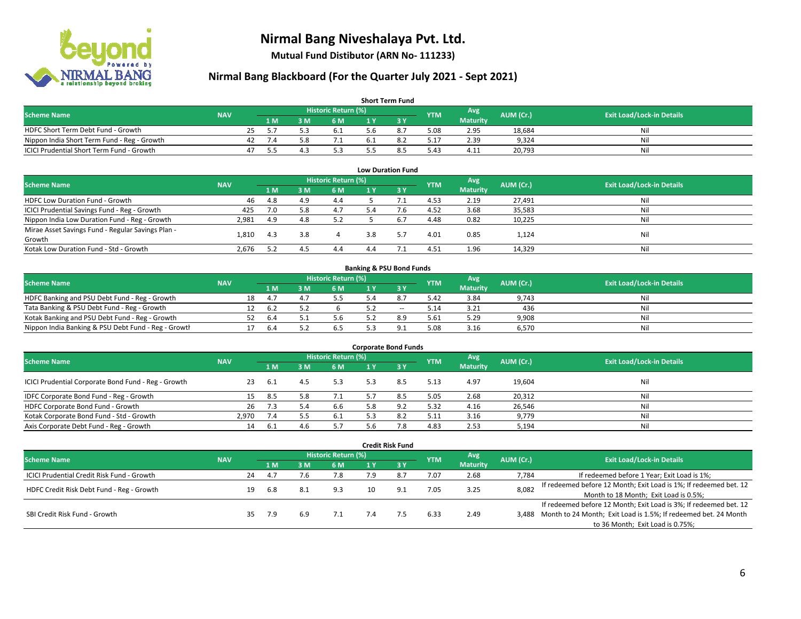

**Mutual Fund Distibutor (ARN No- 111233)**

### **Nirmal Bang Blackboard (For the Quarter July 2021 - Sept 2021)**

| <b>Short Term Fund</b>                           |            |    |      |     |                     |     |     |            |                 |           |                                  |  |  |  |
|--------------------------------------------------|------------|----|------|-----|---------------------|-----|-----|------------|-----------------|-----------|----------------------------------|--|--|--|
| <b>Scheme Name</b>                               | <b>NAV</b> |    |      |     | Historic Return (%) |     |     | <b>YTM</b> | Avg \           | AUM (Cr.) | <b>Exit Load/Lock-in Details</b> |  |  |  |
|                                                  |            |    | 1 M. | 3 M | 6 M                 | 1 Y |     |            | <b>Maturity</b> |           |                                  |  |  |  |
| HDFC Short Term Debt Fund - Growth               |            | 25 |      |     | 6.1                 |     | õ., | 5.08       | 2.95            | 18.684    | Nil                              |  |  |  |
| Nippon India Short Term Fund - Reg - Growth      |            | 42 | 1.4  |     | 7.1                 |     |     | 17.ذ       | 2.39            | 9.324     | Nil                              |  |  |  |
| <b>ICICI Prudential Short Term Fund - Growth</b> |            | 47 |      |     |                     |     |     | 5.43       | 4.11            | 20,793    | Nil                              |  |  |  |

| <b>Low Duration Fund</b>                          |            |       |     |                            |     |     |            |                 |           |                                  |  |  |  |
|---------------------------------------------------|------------|-------|-----|----------------------------|-----|-----|------------|-----------------|-----------|----------------------------------|--|--|--|
| <b>Scheme Name</b>                                | <b>NAV</b> |       |     | <b>Historic Return (%)</b> |     |     | <b>YTM</b> | Avg             | AUM (Cr.) | <b>Exit Load/Lock-in Details</b> |  |  |  |
|                                                   |            | /1 M. | ៵៳  | 6 M                        |     | 3Y  |            | <b>Maturity</b> |           |                                  |  |  |  |
| HDFC Low Duration Fund - Growth                   | 46         | 4.8   | 4.9 | 4.4                        |     |     | 4.53       | 2.19            | 27,491    | Nil                              |  |  |  |
| ICICI Prudential Savings Fund - Reg - Growth      | 425        | 7.0   | 5.8 | 4.7                        | 5.4 | 7.6 | 4.52       | 3.68            | 35,583    | Nil                              |  |  |  |
| Nippon India Low Duration Fund - Reg - Growth     | 2,981      | 4.9   | 4.8 | 5.2                        |     | 6.7 | 4.48       | 0.82            | 10,225    | Nil                              |  |  |  |
| Mirae Asset Savings Fund - Regular Savings Plan - |            |       | 3.8 |                            | 3.8 |     |            |                 |           | Nil                              |  |  |  |
| Growth                                            | 1.810      | 4.3   |     |                            |     |     | 4.01       | 0.85            | 1,124     |                                  |  |  |  |
| Kotak Low Duration Fund - Std - Growth            | 2,676      | 5.2   |     | 4.4                        | 4.4 |     | 4.51       | 1.96            | 14,329    | Nil                              |  |  |  |

| <b>Banking &amp; PSU Bond Funds</b>                 |            |    |      |    |                            |  |     |            |                 |           |                                  |  |  |
|-----------------------------------------------------|------------|----|------|----|----------------------------|--|-----|------------|-----------------|-----------|----------------------------------|--|--|
| <b>Scheme Name</b>                                  | <b>NAV</b> |    |      |    | <b>Historic Return (%)</b> |  |     | <b>YTM</b> | Avg             | AUM (Cr.) | <b>Exit Load/Lock-in Details</b> |  |  |
|                                                     |            |    | 1 M. | ١M | 6 M                        |  |     |            | <b>Maturity</b> |           |                                  |  |  |
| HDFC Banking and PSU Debt Fund - Reg - Growth       |            | 18 | 4.7  |    | 5.5                        |  |     | 5.42       | 3.84            | 9,743     | Nil                              |  |  |
| Tata Banking & PSU Debt Fund - Reg - Growth         |            |    | 6.2  |    |                            |  | $-$ | 5.14       | 3.21            | 436       | Nil                              |  |  |
| Kotak Banking and PSU Debt Fund - Reg - Growth      |            |    | -6.4 |    | 5.6                        |  | 8.9 | 5.61       | 5.29            | 9,908     | Nil                              |  |  |
| Nippon India Banking & PSU Debt Fund - Reg - Growth |            |    | 6.4  |    | 6.5                        |  |     | 5.08       | 3.16            | 6.570     | Nil                              |  |  |

| <b>Corporate Bond Funds</b>                         |            |      |      |                            |     |      |            |                 |           |                                  |  |  |  |
|-----------------------------------------------------|------------|------|------|----------------------------|-----|------|------------|-----------------|-----------|----------------------------------|--|--|--|
| <b>Scheme Name</b>                                  | <b>NAV</b> |      |      | <b>Historic Return (%)</b> |     |      | <b>YTM</b> | Avg             | AUM (Cr.) | <b>Exit Load/Lock-in Details</b> |  |  |  |
|                                                     |            | 1 M  | IM የ | 6 M                        |     | -3 Y |            | <b>Maturity</b> |           |                                  |  |  |  |
| ICICI Prudential Corporate Bond Fund - Reg - Growth | 23         | -6.1 | 4.5  | 5.3                        | 5.3 | 8.5  | 5.13       | 4.97            | 19,604    | Nil                              |  |  |  |
| IDFC Corporate Bond Fund - Reg - Growth             | 15         | 8.5  | 5.8  | 7.1                        |     | 8.5  | 5.05       | 2.68            | 20,312    | Nil                              |  |  |  |
| HDFC Corporate Bond Fund - Growth                   | 26         | 7.3  |      | 6.6                        | 5.8 |      | 5.32       | 4.16            | 26,546    | Nil                              |  |  |  |
| Kotak Corporate Bond Fund - Std - Growth            | 2.970      | 7.4  |      | 6.1                        |     |      | 5.11       | 3.16            | 9,779     | Nil                              |  |  |  |
| Axis Corporate Debt Fund - Reg - Growth             | 14         | -6.1 |      | 5.7                        | 5.6 | 7.8  | 4.83       | 2.53            | 5,194     | Nil                              |  |  |  |

| <b>Credit Risk Fund</b>                           |            |                            |     |      |     |     |         |            |                 |           |                                                                       |  |  |
|---------------------------------------------------|------------|----------------------------|-----|------|-----|-----|---------|------------|-----------------|-----------|-----------------------------------------------------------------------|--|--|
| <b>Scheme Name</b>                                | <b>NAV</b> | <b>Historic Return (%)</b> |     |      |     |     |         |            | Avg             | AUM (Cr.) | <b>Exit Load/Lock-in Details</b>                                      |  |  |
|                                                   |            |                            | 1 M | 3 M  | 6 M | 1 Y | $Z_3$ Y | <b>YTM</b> | <b>Maturity</b> |           |                                                                       |  |  |
| <b>ICICI Prudential Credit Risk Fund - Growth</b> |            | 24                         | 4.7 |      | 7.8 | 7.9 | 8.7     | 7.07       | 2.68            | 7,784     | If redeemed before 1 Year; Exit Load is 1%;                           |  |  |
| HDFC Credit Risk Debt Fund - Reg - Growth         |            | 19                         |     | -8.1 | 9.3 | 10  | 9.1     | 7.05       | 3.25            | 8,082     | If redeemed before 12 Month; Exit Load is 1%; If redeemed bet. 12     |  |  |
|                                                   |            |                            | 6.8 |      |     |     |         |            |                 |           | Month to 18 Month; Exit Load is 0.5%;                                 |  |  |
|                                                   |            |                            |     |      |     |     |         |            |                 |           | If redeemed before 12 Month; Exit Load is 3%; If redeemed bet. 12     |  |  |
| SBI Credit Risk Fund - Growth                     |            | 35                         | 7.9 | 6.9  | 7.1 | 7.4 |         | 6.33       | 2.49            |           | 3,488 Month to 24 Month; Exit Load is 1.5%; If redeemed bet. 24 Month |  |  |
|                                                   |            |                            |     |      |     |     |         |            |                 |           | to 36 Month; Exit Load is 0.75%;                                      |  |  |